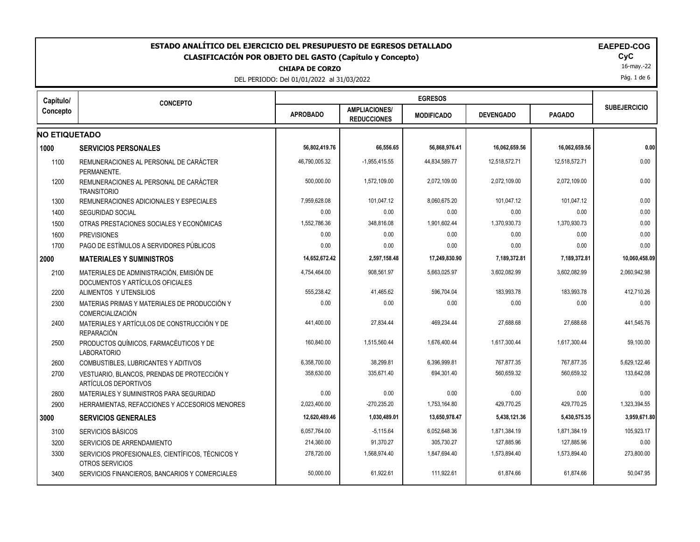| ESTADO ANALÍTICO DEL EJERCICIO DEL PRESUPUESTO DE EGRESOS DETALLADO<br><b>EAEPED-COG</b><br><b>CLASIFICACIÓN POR OBJETO DEL GASTO (Capítulo y Concepto)</b><br><b>CHIAPA DE CORZO</b><br>DEL PERIODO: Del 01/01/2022 al 31/03/2022 |                                                                              |                 |                                            |                   |                  |               |                     |  |  |
|------------------------------------------------------------------------------------------------------------------------------------------------------------------------------------------------------------------------------------|------------------------------------------------------------------------------|-----------------|--------------------------------------------|-------------------|------------------|---------------|---------------------|--|--|
| Capítulo/                                                                                                                                                                                                                          | <b>CONCEPTO</b>                                                              |                 |                                            | <b>EGRESOS</b>    |                  |               |                     |  |  |
| Concepto                                                                                                                                                                                                                           |                                                                              | <b>APROBADO</b> | <b>AMPLIACIONES/</b><br><b>REDUCCIONES</b> | <b>MODIFICADO</b> | <b>DEVENGADO</b> | <b>PAGADO</b> | <b>SUBEJERCICIO</b> |  |  |
| <b>NO ETIQUETADO</b>                                                                                                                                                                                                               |                                                                              |                 |                                            |                   |                  |               |                     |  |  |
| 1000                                                                                                                                                                                                                               | <b>SERVICIOS PERSONALES</b>                                                  | 56,802,419.76   | 66,556.65                                  | 56,868,976.41     | 16,062,659.56    | 16,062,659.56 | 0.00                |  |  |
| 1100                                                                                                                                                                                                                               | REMUNERACIONES AL PERSONAL DE CARÁCTER<br>PFRMANFNTF                         | 46,790,005.32   | $-1,955,415.55$                            | 44,834,589.77     | 12,518,572.71    | 12,518,572.71 | 0.00                |  |  |
| 1200                                                                                                                                                                                                                               | REMUNERACIONES AL PERSONAL DE CARÁCTER<br><b>TRANSITORIO</b>                 | 500,000.00      | 1,572,109.00                               | 2,072,109.00      | 2,072,109.00     | 2,072,109.00  | 0.00                |  |  |
| 1300                                                                                                                                                                                                                               | REMUNERACIONES ADICIONALES Y ESPECIALES                                      | 7,959,628.08    | 101,047.12                                 | 8,060,675.20      | 101,047.12       | 101,047.12    | 0.00                |  |  |
| 1400                                                                                                                                                                                                                               | <b>SEGURIDAD SOCIAL</b>                                                      | 0.00            | 0.00                                       | 0.00              | 0.00             | 0.00          | 0.00                |  |  |
| 1500                                                                                                                                                                                                                               | OTRAS PRESTACIONES SOCIALES Y ECONÓMICAS                                     | 1,552,786.36    | 348,816.08                                 | 1,901,602.44      | 1,370,930.73     | 1,370,930.73  | 0.00                |  |  |
| 1600                                                                                                                                                                                                                               | <b>PREVISIONES</b>                                                           | 0.00            | 0.00                                       | 0.00              | 0.00             | 0.00          | 0.00                |  |  |
| 1700                                                                                                                                                                                                                               | PAGO DE ESTÍMULOS A SERVIDORES PÚBLICOS                                      | 0.00            | 0.00                                       | 0.00              | 0.00             | 0.00          | 0.00                |  |  |
| 2000                                                                                                                                                                                                                               | <b>MATERIALES Y SUMINISTROS</b>                                              | 14,652,672.42   | 2,597,158.48                               | 17,249,830.90     | 7,189,372.81     | 7,189,372.81  | 10,060,458.09       |  |  |
| 2100                                                                                                                                                                                                                               | MATERIALES DE ADMINISTRACIÓN. EMISIÓN DE<br>DOCUMENTOS Y ARTÍCULOS OFICIALES | 4,754,464.00    | 908,561.97                                 | 5,663,025.97      | 3.602.082.99     | 3,602,082.99  | 2,060,942.98        |  |  |
| 2200                                                                                                                                                                                                                               | ALIMENTOS Y UTENSILIOS                                                       | 555,238.42      | 41,465.62                                  | 596,704.04        | 183,993.78       | 183,993.78    | 412,710.26          |  |  |
| 2300                                                                                                                                                                                                                               | MATERIAS PRIMAS Y MATERIALES DE PRODUCCIÓN Y<br>COMERCIALIZACIÓN             | 0.00            | 0.00                                       | 0.00              | 0.00             | 0.00          | 0.00                |  |  |
| 2400                                                                                                                                                                                                                               | MATERIALES Y ARTÍCULOS DE CONSTRUCCIÓN Y DE<br><b>REPARACIÓN</b>             | 441,400.00      | 27,834.44                                  | 469,234.44        | 27,688.68        | 27,688.68     | 441,545.76          |  |  |
| 2500                                                                                                                                                                                                                               | PRODUCTOS QUÍMICOS, FARMACÉUTICOS Y DE<br><b>LABORATORIO</b>                 | 160,840.00      | 1,515,560.44                               | 1,676,400.44      | 1,617,300.44     | 1,617,300.44  | 59,100.00           |  |  |
| 2600                                                                                                                                                                                                                               | <b>COMBUSTIBLES, LUBRICANTES Y ADITIVOS</b>                                  | 6,358,700.00    | 38,299.81                                  | 6.396.999.81      | 767,877.35       | 767,877.35    | 5,629,122.46        |  |  |
| 2700                                                                                                                                                                                                                               | VESTUARIO, BLANCOS, PRENDAS DE PROTECCIÓN Y<br>ARTÍCULOS DEPORTIVOS          | 358,630.00      | 335,671.40                                 | 694,301.40        | 560,659.32       | 560,659.32    | 133,642.08          |  |  |
| 2800                                                                                                                                                                                                                               | MATERIALES Y SUMINISTROS PARA SEGURIDAD                                      | 0.00            | 0.00                                       | 0.00              | 0.00             | 0.00          | 0.00                |  |  |
| 2900                                                                                                                                                                                                                               | HERRAMIENTAS, REFACCIONES Y ACCESORIOS MENORES                               | 2,023,400.00    | $-270,235.20$                              | 1,753,164.80      | 429,770.25       | 429,770.25    | 1,323,394.55        |  |  |
| 3000                                                                                                                                                                                                                               | <b>SERVICIOS GENERALES</b>                                                   | 12,620,489.46   | 1,030,489.01                               | 13,650,978.47     | 5,438,121.36     | 5,430,575.35  | 3,959,671.80        |  |  |
| 3100                                                                                                                                                                                                                               | SERVICIOS BÁSICOS                                                            | 6,057,764.00    | $-5,115.64$                                | 6,052,648.36      | 1,871,384.19     | 1,871,384.19  | 105,923.17          |  |  |
| 3200                                                                                                                                                                                                                               | SERVICIOS DE ARRENDAMIENTO                                                   | 214,360.00      | 91,370.27                                  | 305,730.27        | 127,885.96       | 127,885.96    | 0.00                |  |  |
| 3300                                                                                                                                                                                                                               | SERVICIOS PROFESIONALES, CIENTÍFICOS, TÉCNICOS Y<br>OTROS SERVICIOS          | 278,720.00      | 1,568,974.40                               | 1,847,694.40      | 1,573,894.40     | 1,573,894.40  | 273,800.00          |  |  |
| 3400                                                                                                                                                                                                                               | SERVICIOS FINANCIEROS, BANCARIOS Y COMERCIALES                               | 50,000.00       | 61,922.61                                  | 111,922.61        | 61,874.66        | 61,874.66     | 50,047.95           |  |  |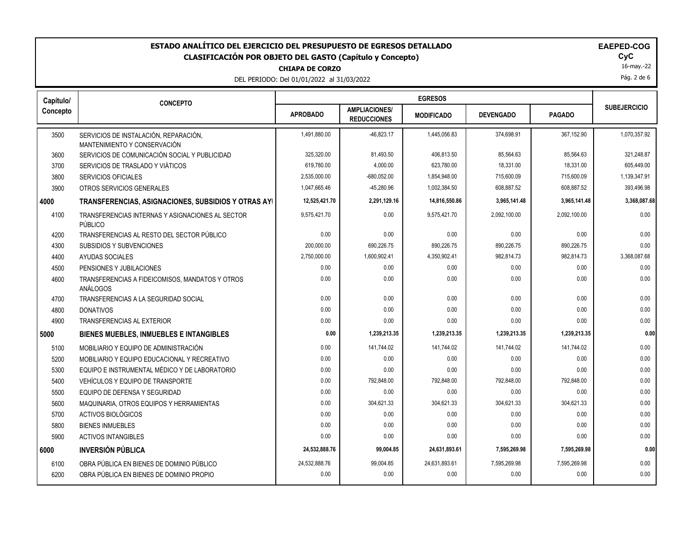## **CHIAPA DE CORZO ESTADO ANALÍTICO DEL EJERCICIO DEL PRESUPUESTO DE EGRESOS DETALLADO EAEPED-COG CLASIFICACIÓN POR OBJETO DEL GASTO (Capítulo y Concepto) CyC**

DEL PERIODO: Del 01/01/2022 al 31/03/2022

|  | ---- |  |
|--|------|--|
|  |      |  |
|  |      |  |
|  |      |  |

16-may.-22

Pág. 2 de 6

| Capítulo/ | <b>CONCEPTO</b>                                                       |                 |                                            |                   |                  |               |                     |
|-----------|-----------------------------------------------------------------------|-----------------|--------------------------------------------|-------------------|------------------|---------------|---------------------|
| Concepto  |                                                                       | <b>APROBADO</b> | <b>AMPLIACIONES/</b><br><b>REDUCCIONES</b> | <b>MODIFICADO</b> | <b>DEVENGADO</b> | <b>PAGADO</b> | <b>SUBEJERCICIO</b> |
| 3500      | SERVICIOS DE INSTALACIÓN, REPARACIÓN,<br>MANTENIMIENTO Y CONSERVACIÓN | 1.491.880.00    | -46.823.17                                 | 1.445.056.83      | 374.698.91       | 367.152.90    | 1.070.357.92        |
| 3600      | SERVICIOS DE COMUNICACIÓN SOCIAL Y PUBLICIDAD                         | 325,320.00      | 81,493.50                                  | 406,813.50        | 85,564.63        | 85,564.63     | 321,248.87          |
| 3700      | SERVICIOS DE TRASLADO Y VIÁTICOS                                      | 619,780.00      | 4,000.00                                   | 623,780.00        | 18,331.00        | 18,331.00     | 605,449.00          |
| 3800      | <b>SERVICIOS OFICIALES</b>                                            | 2,535,000.00    | $-680,052.00$                              | 1,854,948.00      | 715,600.09       | 715,600.09    | 1,139,347.91        |
| 3900      | OTROS SERVICIOS GENERALES                                             | 1,047,665.46    | -45,280.96                                 | 1,002,384.50      | 608,887.52       | 608,887.52    | 393,496.98          |
| 4000      | TRANSFERENCIAS, ASIGNACIONES, SUBSIDIOS Y OTRAS AYI                   | 12,525,421.70   | 2,291,129.16                               | 14,816,550.86     | 3,965,141.48     | 3,965,141.48  | 3,368,087.68        |
| 4100      | TRANSFERENCIAS INTERNAS Y ASIGNACIONES AL SECTOR<br>PÚBLICO           | 9,575,421.70    | 0.00                                       | 9,575,421.70      | 2,092,100.00     | 2,092,100.00  | 0.00                |
| 4200      | TRANSFERENCIAS AL RESTO DEL SECTOR PÚBLICO                            | 0.00            | 0.00                                       | 0.00              | 0.00             | 0.00          | 0.00                |
| 4300      | SUBSIDIOS Y SUBVENCIONES                                              | 200.000.00      | 690.226.75                                 | 890.226.75        | 890.226.75       | 890.226.75    | 0.00                |
| 4400      | <b>AYUDAS SOCIALES</b>                                                | 2,750,000.00    | 1,600,902.41                               | 4,350,902.41      | 982,814.73       | 982,814.73    | 3,368,087.68        |
| 4500      | PENSIONES Y JUBILACIONES                                              | 0.00            | 0.00                                       | 0.00              | 0.00             | 0.00          | 0.00                |
| 4600      | TRANSFERENCIAS A FIDEICOMISOS, MANDATOS Y OTROS<br>ANÁLOGOS           | 0.00            | 0.00                                       | 0.00              | 0.00             | 0.00          | 0.00                |
| 4700      | TRANSFERENCIAS A LA SEGURIDAD SOCIAL                                  | 0.00            | 0.00                                       | 0.00              | 0.00             | 0.00          | 0.00                |
| 4800      | <b>DONATIVOS</b>                                                      | 0.00            | 0.00                                       | 0.00              | 0.00             | 0.00          | 0.00                |
| 4900      | TRANSFERENCIAS AL EXTERIOR                                            | 0.00            | 0.00                                       | 0.00              | 0.00             | 0.00          | 0.00                |
| 5000      | <b>BIENES MUEBLES, INMUEBLES E INTANGIBLES</b>                        | 0.00            | 1,239,213.35                               | 1,239,213.35      | 1,239,213.35     | 1,239,213.35  | 0.00                |
| 5100      | MOBILIARIO Y EQUIPO DE ADMINISTRACIÓN                                 | 0.00            | 141,744.02                                 | 141,744.02        | 141,744.02       | 141,744.02    | 0.00                |
| 5200      | MOBILIARIO Y EQUIPO EDUCACIONAL Y RECREATIVO                          | 0.00            | 0.00                                       | 0.00              | 0.00             | 0.00          | 0.00                |
| 5300      | EQUIPO E INSTRUMENTAL MÉDICO Y DE LABORATORIO                         | 0.00            | 0.00                                       | 0.00              | 0.00             | 0.00          | 0.00                |
| 5400      | VEHÍCULOS Y EQUIPO DE TRANSPORTE                                      | 0.00            | 792,848.00                                 | 792,848.00        | 792,848.00       | 792,848.00    | 0.00                |
| 5500      | EQUIPO DE DEFENSA Y SEGURIDAD                                         | 0.00            | 0.00                                       | 0.00              | 0.00             | 0.00          | 0.00                |
| 5600      | MAQUINARIA, OTROS EQUIPOS Y HERRAMIENTAS                              | 0.00            | 304,621.33                                 | 304.621.33        | 304,621.33       | 304.621.33    | 0.00                |
| 5700      | ACTIVOS BIOLÓGICOS                                                    | 0.00            | 0.00                                       | 0.00              | 0.00             | 0.00          | 0.00                |
| 5800      | <b>BIENES INMUEBLES</b>                                               | 0.00            | 0.00                                       | 0.00              | 0.00             | 0.00          | 0.00                |
| 5900      | <b>ACTIVOS INTANGIBLES</b>                                            | 0.00            | 0.00                                       | 0.00              | 0.00             | 0.00          | 0.00                |
| 6000      | <b>INVERSIÓN PÚBLICA</b>                                              | 24,532,888.76   | 99,004.85                                  | 24,631,893.61     | 7,595,269.98     | 7,595,269.98  | 0.00                |
| 6100      | OBRA PÚBLICA EN BIENES DE DOMINIO PÚBLICO                             | 24,532,888.76   | 99,004.85                                  | 24,631,893.61     | 7,595,269.98     | 7,595,269.98  | 0.00                |
| 6200      | OBRA PÚBLICA EN BIENES DE DOMINIO PROPIO                              | 0.00            | 0.00                                       | 0.00              | 0.00             | 0.00          | 0.00                |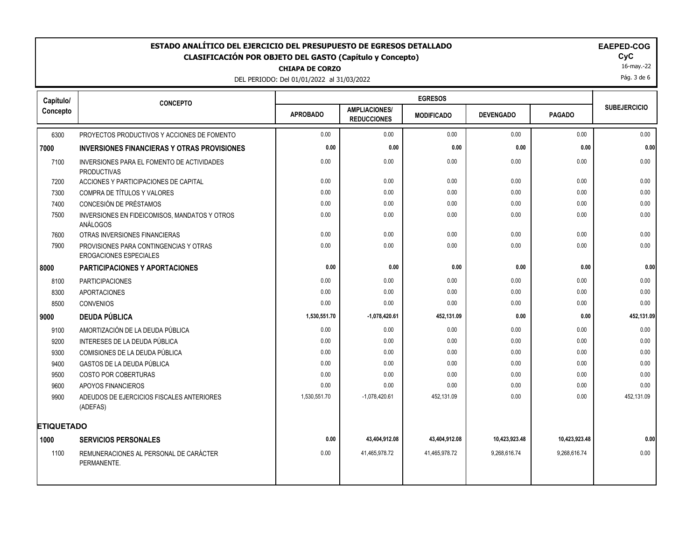# ESTADO ANALÍTICO DEL EJERCICIO DEL PRESUPUESTO DE EGRESOS DETALLADO<br>CLASIFICACIÓN POR OBJETO DEL GASTO (Capítulo y Concepto) **EXACTES EN EXACICIÓN DE EL GASTO (Capítulo** y Concepto) **CLASIFICACIÓN POR OBJETO DEL GASTO (Capítulo y Concepto) CyC**

**CHIAPA DE CORZO**

DEL PERIODO: Del 01/01/2022 al 31/03/2022

|--|

16-may.-22

Pág. 3 de 6

| Capítulo/         | <b>CONCEPTO</b>                                                         | <b>EGRESOS</b>  |                                            |                   |                  |               |                     |
|-------------------|-------------------------------------------------------------------------|-----------------|--------------------------------------------|-------------------|------------------|---------------|---------------------|
| Concepto          |                                                                         | <b>APROBADO</b> | <b>AMPLIACIONES/</b><br><b>REDUCCIONES</b> | <b>MODIFICADO</b> | <b>DEVENGADO</b> | <b>PAGADO</b> | <b>SUBEJERCICIO</b> |
| 6300              | PROYECTOS PRODUCTIVOS Y ACCIONES DE FOMENTO                             | 0.00            | 0.00                                       | 0.00              | 0.00             | 0.00          | 0.00                |
| 7000              | <b>INVERSIONES FINANCIERAS Y OTRAS PROVISIONES</b>                      | 0.00            | 0.00                                       | 0.00              | 0.00             | 0.00          | 0.00                |
| 7100              | INVERSIONES PARA EL FOMENTO DE ACTIVIDADES<br><b>PRODUCTIVAS</b>        | 0.00            | 0.00                                       | 0.00              | 0.00             | 0.00          | 0.00                |
| 7200              | ACCIONES Y PARTICIPACIONES DE CAPITAL                                   | 0.00            | 0.00                                       | 0.00              | 0.00             | 0.00          | 0.00                |
| 7300              | COMPRA DE TÍTULOS Y VALORES                                             | 0.00            | 0.00                                       | 0.00              | 0.00             | 0.00          | 0.00                |
| 7400              | CONCESIÓN DE PRÉSTAMOS                                                  | 0.00            | 0.00                                       | 0.00              | 0.00             | 0.00          | 0.00                |
| 7500              | INVERSIONES EN FIDEICOMISOS, MANDATOS Y OTROS<br>ANÁLOGOS               | 0.00            | 0.00                                       | 0.00              | 0.00             | 0.00          | 0.00                |
| 7600              | OTRAS INVERSIONES FINANCIERAS                                           | 0.00            | 0.00                                       | 0.00              | 0.00             | 0.00          | 0.00                |
| 7900              | PROVISIONES PARA CONTINGENCIAS Y OTRAS<br><b>EROGACIONES ESPECIALES</b> | 0.00            | 0.00                                       | 0.00              | 0.00             | 0.00          | 0.00                |
| 8000              | <b>PARTICIPACIONES Y APORTACIONES</b>                                   | 0.00            | 0.00                                       | 0.00              | 0.00             | 0.00          | 0.00                |
| 8100              | <b>PARTICIPACIONES</b>                                                  | 0.00            | 0.00                                       | 0.00              | 0.00             | 0.00          | 0.00                |
| 8300              | <b>APORTACIONES</b>                                                     | 0.00            | 0.00                                       | 0.00              | 0.00             | 0.00          | 0.00                |
| 8500              | <b>CONVENIOS</b>                                                        | 0.00            | 0.00                                       | 0.00              | 0.00             | 0.00          | 0.00                |
| 9000              | <b>DEUDA PÚBLICA</b>                                                    | 1,530,551.70    | $-1,078,420.61$                            | 452,131.09        | 0.00             | 0.00          | 452,131.09          |
| 9100              | AMORTIZACIÓN DE LA DEUDA PÚBLICA                                        | 0.00            | 0.00                                       | 0.00              | 0.00             | 0.00          | 0.00                |
| 9200              | INTERESES DE LA DEUDA PÚBLICA                                           | 0.00            | 0.00                                       | 0.00              | 0.00             | 0.00          | 0.00                |
| 9300              | COMISIONES DE LA DEUDA PÚBLICA                                          | 0.00            | 0.00                                       | 0.00              | 0.00             | 0.00          | 0.00                |
| 9400              | GASTOS DE LA DEUDA PÚBLICA                                              | 0.00            | 0.00                                       | 0.00              | 0.00             | 0.00          | 0.00                |
| 9500              | COSTO POR COBERTURAS                                                    | 0.00            | 0.00                                       | 0.00              | 0.00             | 0.00          | 0.00                |
| 9600              | APOYOS FINANCIEROS                                                      | 0.00            | 0.00                                       | 0.00              | 0.00             | 0.00          | 0.00                |
| 9900              | ADEUDOS DE EJERCICIOS FISCALES ANTERIORES<br>(ADEFAS)                   | 1,530,551.70    | $-1,078,420.61$                            | 452,131.09        | 0.00             | 0.00          | 452,131.09          |
| <b>ETIQUETADO</b> |                                                                         |                 |                                            |                   |                  |               |                     |
| 1000              | <b>SERVICIOS PERSONALES</b>                                             | 0.00            | 43,404,912.08                              | 43,404,912.08     | 10,423,923.48    | 10,423,923.48 | 0.00                |
| 1100              | REMUNERACIONES AL PERSONAL DE CARÁCTER<br>PERMANENTE.                   | 0.00            | 41,465,978.72                              | 41,465,978.72     | 9,268,616.74     | 9,268,616.74  | 0.00                |
|                   |                                                                         |                 |                                            |                   |                  |               |                     |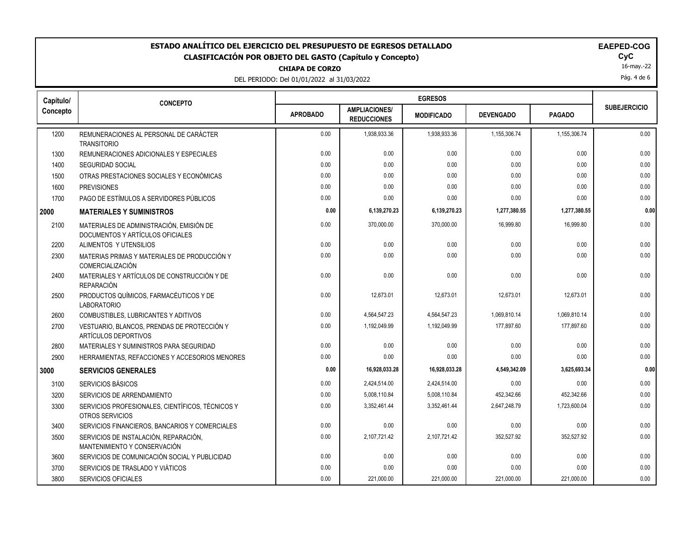# **ESTADO ANALÍTICO DEL EJERCICIO DEL PRESUPUESTO DE EGRESOS DETALLADO EAEPED-COG CLASIFICACIÓN POR OBJETO DEL GASTO (Capítulo y Concepto) CyC**

**CHIAPA DE CORZO**

DEL PERIODO: Del 01/01/2022 al 31/03/2022

|  | AEPEI | ้า. |
|--|-------|-----|
|  |       |     |

16-may.-22

Pág. 4 de 6

| Capítulo/ | <b>CONCEPTO</b>                                                              |                 |                                            |                   |                  |               |                     |
|-----------|------------------------------------------------------------------------------|-----------------|--------------------------------------------|-------------------|------------------|---------------|---------------------|
| Concepto  |                                                                              | <b>APROBADO</b> | <b>AMPLIACIONES/</b><br><b>REDUCCIONES</b> | <b>MODIFICADO</b> | <b>DEVENGADO</b> | <b>PAGADO</b> | <b>SUBEJERCICIO</b> |
| 1200      | REMUNERACIONES AL PERSONAL DE CARÁCTER<br><b>TRANSITORIO</b>                 | 0.00            | 1,938,933.36                               | 1,938,933.36      | 1,155,306.74     | 1,155,306.74  | 0.00                |
| 1300      | REMUNERACIONES ADICIONALES Y ESPECIALES                                      | 0.00            | 0.00                                       | 0.00              | 0.00             | 0.00          | 0.00                |
| 1400      | SEGURIDAD SOCIAL                                                             | 0.00            | 0.00                                       | 0.00              | 0.00             | 0.00          | 0.00                |
| 1500      | OTRAS PRESTACIONES SOCIALES Y ECONÓMICAS                                     | 0.00            | 0.00                                       | 0.00              | 0.00             | 0.00          | 0.00                |
| 1600      | <b>PREVISIONES</b>                                                           | 0.00            | 0.00                                       | 0.00              | 0.00             | 0.00          | 0.00                |
| 1700      | PAGO DE ESTÍMULOS A SERVIDORES PÚBLICOS                                      | 0.00            | 0.00                                       | 0.00              | 0.00             | 0.00          | 0.00                |
| 2000      | <b>MATERIALES Y SUMINISTROS</b>                                              | 0.00            | 6,139,270.23                               | 6,139,270.23      | 1,277,380.55     | 1,277,380.55  | 0.00                |
| 2100      | MATERIALES DE ADMINISTRACIÓN, EMISIÓN DE<br>DOCUMENTOS Y ARTÍCULOS OFICIALES | 0.00            | 370,000.00                                 | 370,000.00        | 16,999.80        | 16,999.80     | 0.00                |
| 2200      | ALIMENTOS Y UTENSILIOS                                                       | 0.00            | 0.00                                       | 0.00              | 0.00             | 0.00          | 0.00                |
| 2300      | MATERIAS PRIMAS Y MATERIALES DE PRODUCCIÓN Y<br><b>COMERCIALIZACIÓN</b>      | 0.00            | 0.00                                       | 0.00              | 0.00             | 0.00          | 0.00                |
| 2400      | MATERIALES Y ARTÍCULOS DE CONSTRUCCIÓN Y DE<br><b>REPARACIÓN</b>             | 0.00            | 0.00                                       | 0.00              | 0.00             | 0.00          | 0.00                |
| 2500      | PRODUCTOS QUÍMICOS, FARMACÉUTICOS Y DE<br><b>LABORATORIO</b>                 | 0.00            | 12,673.01                                  | 12.673.01         | 12,673.01        | 12.673.01     | 0.00                |
| 2600      | COMBUSTIBLES, LUBRICANTES Y ADITIVOS                                         | 0.00            | 4,564,547.23                               | 4,564,547.23      | 1,069,810.14     | 1,069,810.14  | 0.00                |
| 2700      | VESTUARIO, BLANCOS, PRENDAS DE PROTECCIÓN Y<br>ARTÍCULOS DEPORTIVOS          | 0.00            | 1,192,049.99                               | 1,192,049.99      | 177,897.60       | 177,897.60    | 0.00                |
| 2800      | MATERIALES Y SUMINISTROS PARA SEGURIDAD                                      | 0.00            | 0.00                                       | 0.00              | 0.00             | 0.00          | 0.00                |
| 2900      | HERRAMIENTAS, REFACCIONES Y ACCESORIOS MENORES                               | 0.00            | 0.00                                       | 0.00              | 0.00             | 0.00          | 0.00                |
| 3000      | <b>SERVICIOS GENERALES</b>                                                   | 0.00            | 16,928,033.28                              | 16,928,033.28     | 4,549,342.09     | 3,625,693.34  | 0.00                |
| 3100      | SERVICIOS BÁSICOS                                                            | 0.00            | 2,424,514.00                               | 2,424,514.00      | 0.00             | 0.00          | 0.00                |
| 3200      | SERVICIOS DE ARRENDAMIENTO                                                   | 0.00            | 5,008,110.84                               | 5,008,110.84      | 452,342.66       | 452,342.66    | 0.00                |
| 3300      | SERVICIOS PROFESIONALES, CIENTÍFICOS, TÉCNICOS Y<br>OTROS SERVICIOS          | 0.00            | 3,352,461.44                               | 3,352,461.44      | 2,647,248.79     | 1,723,600.04  | 0.00                |
| 3400      | SERVICIOS FINANCIEROS, BANCARIOS Y COMERCIALES                               | 0.00            | 0.00                                       | 0.00              | 0.00             | 0.00          | 0.00                |
| 3500      | SERVICIOS DE INSTALACIÓN, REPARACIÓN,<br>MANTENIMIENTO Y CONSERVACIÓN        | 0.00            | 2,107,721.42                               | 2,107,721.42      | 352,527.92       | 352,527.92    | 0.00                |
| 3600      | SERVICIOS DE COMUNICACIÓN SOCIAL Y PUBLICIDAD                                | 0.00            | 0.00                                       | 0.00              | 0.00             | 0.00          | 0.00                |
| 3700      | SERVICIOS DE TRASLADO Y VIÁTICOS                                             | 0.00            | 0.00                                       | 0.00              | 0.00             | 0.00          | 0.00                |
| 3800      | <b>SERVICIOS OFICIALES</b>                                                   | 0.00            | 221,000.00                                 | 221,000.00        | 221,000.00       | 221,000.00    | 0.00                |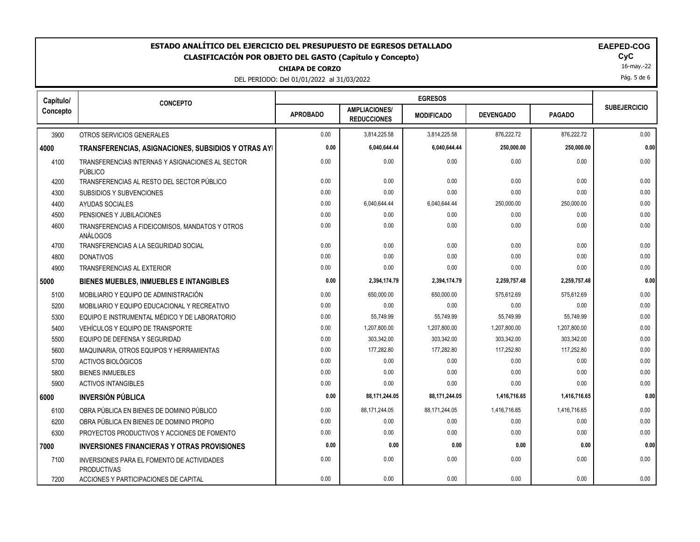## ESTADO ANALÍTICO DEL EJERCICIO DEL PRESUPUESTO DE EGRESOS DETALLADO<br>CLASIFICACIÓN POR OBJETO DEL GASTO (Capítulo y Concepto) **EAEPED-COGASIFICACIÓN POR OBJETO DEL GASTO** (Capítulo y Concepto) **CLASIFICACIÓN POR OBJETO DEL GASTO (Capítulo y Concepto) CyC**

**CHIAPA DE CORZO**

DEL PERIODO: Del 01/01/2022 al 31/03/2022

| <b>EAEPED-COG</b> |  |
|-------------------|--|
|-------------------|--|

16-may.-22

Pág. 5 de 6

| Capítulo/ | <b>CONCEPTO</b>                                                  |                 |                                            |                   |                  |               |                     |
|-----------|------------------------------------------------------------------|-----------------|--------------------------------------------|-------------------|------------------|---------------|---------------------|
| Concepto  |                                                                  | <b>APROBADO</b> | <b>AMPLIACIONES/</b><br><b>REDUCCIONES</b> | <b>MODIFICADO</b> | <b>DEVENGADO</b> | <b>PAGADO</b> | <b>SUBEJERCICIO</b> |
| 3900      | OTROS SERVICIOS GENERALES                                        | 0.00            | 3,814,225.58                               | 3,814,225.58      | 876,222.72       | 876,222.72    | 0.00                |
| 4000      | TRANSFERENCIAS, ASIGNACIONES, SUBSIDIOS Y OTRAS AYI              | 0.00            | 6,040,644.44                               | 6,040,644.44      | 250,000.00       | 250,000.00    | 0.00                |
| 4100      | TRANSFERENCIAS INTERNAS Y ASIGNACIONES AL SECTOR<br>PÚBLICO      | 0.00            | 0.00                                       | 0.00              | 0.00             | 0.00          | 0.00                |
| 4200      | TRANSFERENCIAS AL RESTO DEL SECTOR PÚBLICO                       | 0.00            | 0.00                                       | 0.00              | 0.00             | 0.00          | 0.00                |
| 4300      | SUBSIDIOS Y SUBVENCIONES                                         | 0.00            | 0.00                                       | 0.00              | 0.00             | 0.00          | 0.00                |
| 4400      | AYUDAS SOCIALES                                                  | 0.00            | 6,040,644.44                               | 6,040,644.44      | 250,000.00       | 250,000.00    | 0.00                |
| 4500      | PENSIONES Y JUBILACIONES                                         | 0.00            | 0.00                                       | 0.00              | 0.00             | 0.00          | 0.00                |
| 4600      | TRANSFERENCIAS A FIDEICOMISOS, MANDATOS Y OTROS<br>ANÁLOGOS      | 0.00            | 0.00                                       | 0.00              | 0.00             | 0.00          | 0.00                |
| 4700      | TRANSFERENCIAS A LA SEGURIDAD SOCIAL                             | 0.00            | 0.00                                       | 0.00              | 0.00             | 0.00          | 0.00                |
| 4800      | <b>DONATIVOS</b>                                                 | 0.00            | 0.00                                       | 0.00              | 0.00             | 0.00          | 0.00                |
| 4900      | <b>TRANSFERENCIAS AL EXTERIOR</b>                                | 0.00            | 0.00                                       | 0.00              | 0.00             | 0.00          | 0.00                |
| 5000      | BIENES MUEBLES, INMUEBLES E INTANGIBLES                          | 0.00            | 2,394,174.79                               | 2,394,174.79      | 2,259,757.48     | 2,259,757.48  | 0.00                |
| 5100      | MOBILIARIO Y EQUIPO DE ADMINISTRACIÓN                            | 0.00            | 650,000.00                                 | 650,000.00        | 575,612.69       | 575,612.69    | 0.00                |
| 5200      | MOBILIARIO Y EQUIPO EDUCACIONAL Y RECREATIVO                     | 0.00            | 0.00                                       | 0.00              | 0.00             | 0.00          | 0.00                |
| 5300      | EQUIPO E INSTRUMENTAL MÉDICO Y DE LABORATORIO                    | 0.00            | 55,749.99                                  | 55,749.99         | 55,749.99        | 55,749.99     | 0.00                |
| 5400      | VEHÍCULOS Y EQUIPO DE TRANSPORTE                                 | 0.00            | 1,207,800.00                               | 1,207,800.00      | 1,207,800.00     | 1,207,800.00  | 0.00                |
| 5500      | EQUIPO DE DEFENSA Y SEGURIDAD                                    | 0.00            | 303,342.00                                 | 303,342.00        | 303,342.00       | 303,342.00    | 0.00                |
| 5600      | MAQUINARIA, OTROS EQUIPOS Y HERRAMIENTAS                         | 0.00            | 177,282.80                                 | 177,282.80        | 117,252.80       | 117,252.80    | 0.00                |
| 5700      | ACTIVOS BIOLÓGICOS                                               | 0.00            | 0.00                                       | 0.00              | 0.00             | 0.00          | 0.00                |
| 5800      | <b>BIENES INMUEBLES</b>                                          | 0.00            | 0.00                                       | 0.00              | 0.00             | 0.00          | 0.00                |
| 5900      | <b>ACTIVOS INTANGIBLES</b>                                       | 0.00            | 0.00                                       | 0.00              | 0.00             | 0.00          | 0.00                |
| 6000      | INVERSIÓN PÚBLICA                                                | 0.00            | 88,171,244.05                              | 88,171,244.05     | 1,416,716.65     | 1,416,716.65  | 0.00                |
| 6100      | OBRA PÚBLICA EN BIENES DE DOMINIO PÚBLICO                        | 0.00            | 88,171,244.05                              | 88,171,244.05     | 1,416,716.65     | 1,416,716.65  | 0.00                |
| 6200      | OBRA PÚBLICA EN BIENES DE DOMINIO PROPIO                         | 0.00            | 0.00                                       | 0.00              | 0.00             | 0.00          | 0.00                |
| 6300      | PROYECTOS PRODUCTIVOS Y ACCIONES DE FOMENTO                      | 0.00            | 0.00                                       | 0.00              | 0.00             | 0.00          | 0.00                |
| 7000      | <b>INVERSIONES FINANCIERAS Y OTRAS PROVISIONES</b>               | 0.00            | 0.00                                       | 0.00              | 0.00             | 0.00          | 0.00                |
| 7100      | INVERSIONES PARA EL FOMENTO DE ACTIVIDADES<br><b>PRODUCTIVAS</b> | 0.00            | 0.00                                       | 0.00              | 0.00             | 0.00          | 0.00                |
| 7200      | ACCIONES Y PARTICIPACIONES DE CAPITAL                            | 0.00            | 0.00                                       | 0.00              | 0.00             | 0.00          | 0.00                |